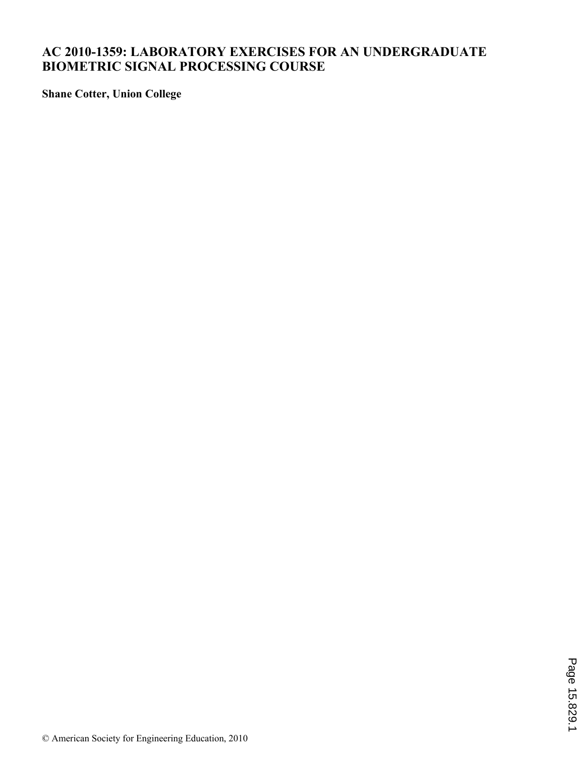# **AC 2010-1359: LABORATORY EXERCISES FOR AN UNDERGRADUATE BIOMETRIC SIGNAL PROCESSING COURSE**

**Shane Cotter, Union College**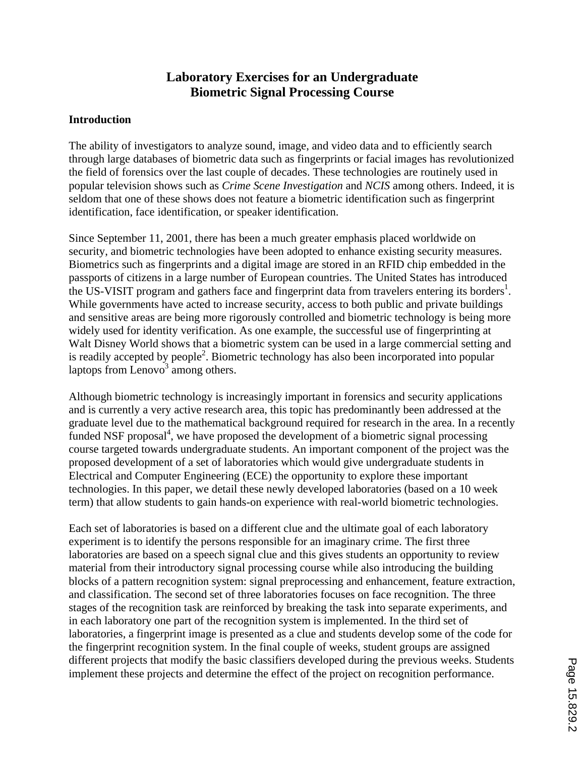# **Laboratory Exercises for an Undergraduate Biometric Signal Processing Course**

#### **Introduction**

The ability of investigators to analyze sound, image, and video data and to efficiently search through large databases of biometric data such as fingerprints or facial images has revolutionized the field of forensics over the last couple of decades. These technologies are routinely used in popular television shows such as *Crime Scene Investigation* and *NCIS* among others. Indeed, it is seldom that one of these shows does not feature a biometric identification such as fingerprint identification, face identification, or speaker identification.

Since September 11, 2001, there has been a much greater emphasis placed worldwide on security, and biometric technologies have been adopted to enhance existing security measures. Biometrics such as fingerprints and a digital image are stored in an RFID chip embedded in the passports of citizens in a large number of European countries. The United States has introduced the US-VISIT program and gathers face and fingerprint data from travelers entering its borders<sup>1</sup>. While governments have acted to increase security, access to both public and private buildings and sensitive areas are being more rigorously controlled and biometric technology is being more widely used for identity verification. As one example, the successful use of fingerprinting at Walt Disney World shows that a biometric system can be used in a large commercial setting and is readily accepted by people<sup>2</sup>. Biometric technology has also been incorporated into popular laptops from  $Lenovo<sup>3</sup>$  among others.

Although biometric technology is increasingly important in forensics and security applications and is currently a very active research area, this topic has predominantly been addressed at the graduate level due to the mathematical background required for research in the area. In a recently  $\bar{f}$ unded NSF proposal $\bar{f}$ , we have proposed the development of a biometric signal processing course targeted towards undergraduate students. An important component of the project was the proposed development of a set of laboratories which would give undergraduate students in Electrical and Computer Engineering (ECE) the opportunity to explore these important technologies. In this paper, we detail these newly developed laboratories (based on a 10 week term) that allow students to gain hands-on experience with real-world biometric technologies.

Each set of laboratories is based on a different clue and the ultimate goal of each laboratory experiment is to identify the persons responsible for an imaginary crime. The first three laboratories are based on a speech signal clue and this gives students an opportunity to review material from their introductory signal processing course while also introducing the building blocks of a pattern recognition system: signal preprocessing and enhancement, feature extraction, and classification. The second set of three laboratories focuses on face recognition. The three stages of the recognition task are reinforced by breaking the task into separate experiments, and in each laboratory one part of the recognition system is implemented. In the third set of laboratories, a fingerprint image is presented as a clue and students develop some of the code for the fingerprint recognition system. In the final couple of weeks, student groups are assigned different projects that modify the basic classifiers developed during the previous weeks. Students implement these projects and determine the effect of the project on recognition performance.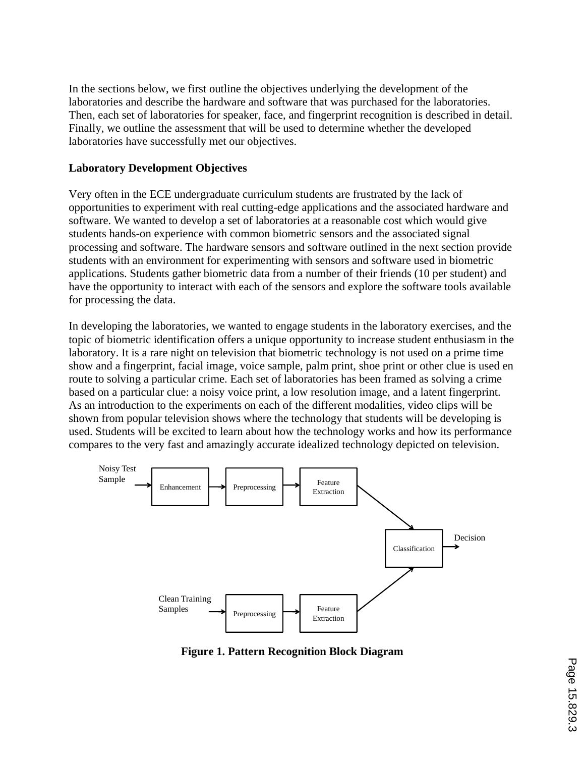In the sections below, we first outline the objectives underlying the development of the laboratories and describe the hardware and software that was purchased for the laboratories. Then, each set of laboratories for speaker, face, and fingerprint recognition is described in detail. Finally, we outline the assessment that will be used to determine whether the developed laboratories have successfully met our objectives.

#### **Laboratory Development Objectives**

Very often in the ECE undergraduate curriculum students are frustrated by the lack of opportunities to experiment with real cutting-edge applications and the associated hardware and software. We wanted to develop a set of laboratories at a reasonable cost which would give students hands-on experience with common biometric sensors and the associated signal processing and software. The hardware sensors and software outlined in the next section provide students with an environment for experimenting with sensors and software used in biometric applications. Students gather biometric data from a number of their friends (10 per student) and have the opportunity to interact with each of the sensors and explore the software tools available for processing the data.

In developing the laboratories, we wanted to engage students in the laboratory exercises, and the topic of biometric identification offers a unique opportunity to increase student enthusiasm in the laboratory. It is a rare night on television that biometric technology is not used on a prime time show and a fingerprint, facial image, voice sample, palm print, shoe print or other clue is used en route to solving a particular crime. Each set of laboratories has been framed as solving a crime based on a particular clue: a noisy voice print, a low resolution image, and a latent fingerprint. As an introduction to the experiments on each of the different modalities, video clips will be shown from popular television shows where the technology that students will be developing is used. Students will be excited to learn about how the technology works and how its performance compares to the very fast and amazingly accurate idealized technology depicted on television.



**Figure 1. Pattern Recognition Block Diagram**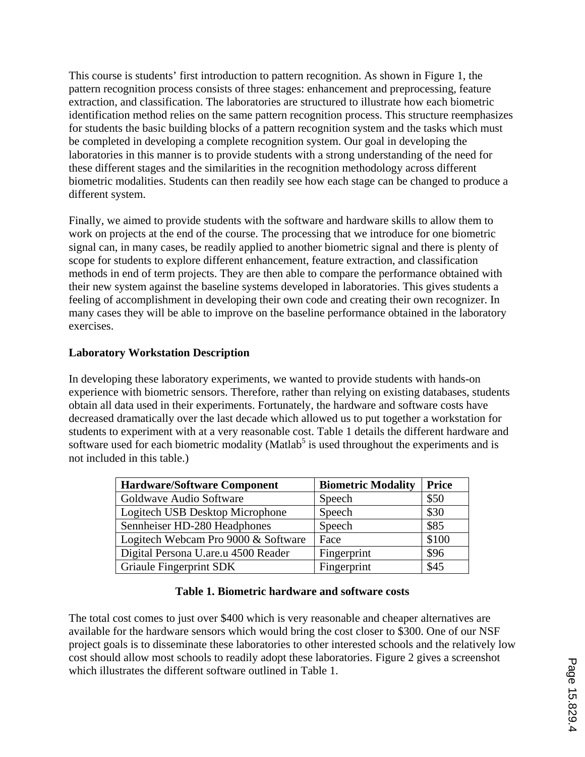This course is students' first introduction to pattern recognition. As shown in Figure 1, the pattern recognition process consists of three stages: enhancement and preprocessing, feature extraction, and classification. The laboratories are structured to illustrate how each biometric identification method relies on the same pattern recognition process. This structure reemphasizes for students the basic building blocks of a pattern recognition system and the tasks which must be completed in developing a complete recognition system. Our goal in developing the laboratories in this manner is to provide students with a strong understanding of the need for these different stages and the similarities in the recognition methodology across different biometric modalities. Students can then readily see how each stage can be changed to produce a different system.

Finally, we aimed to provide students with the software and hardware skills to allow them to work on projects at the end of the course. The processing that we introduce for one biometric signal can, in many cases, be readily applied to another biometric signal and there is plenty of scope for students to explore different enhancement, feature extraction, and classification methods in end of term projects. They are then able to compare the performance obtained with their new system against the baseline systems developed in laboratories. This gives students a feeling of accomplishment in developing their own code and creating their own recognizer. In many cases they will be able to improve on the baseline performance obtained in the laboratory exercises.

#### **Laboratory Workstation Description**

In developing these laboratory experiments, we wanted to provide students with hands-on experience with biometric sensors. Therefore, rather than relying on existing databases, students obtain all data used in their experiments. Fortunately, the hardware and software costs have decreased dramatically over the last decade which allowed us to put together a workstation for students to experiment with at a very reasonable cost. Table 1 details the different hardware and software used for each biometric modality (Matlab<sup>5</sup> is used throughout the experiments and is not included in this table.)

| <b>Hardware/Software Component</b>  | <b>Biometric Modality</b> | <b>Price</b> |
|-------------------------------------|---------------------------|--------------|
| Goldwave Audio Software             | Speech                    | \$50         |
| Logitech USB Desktop Microphone     | Speech                    | \$30         |
| Sennheiser HD-280 Headphones        | Speech                    | \$85         |
| Logitech Webcam Pro 9000 & Software | Face                      | \$100        |
| Digital Persona U.are.u 4500 Reader | Fingerprint               | \$96         |
| Griaule Fingerprint SDK             | Fingerprint               | \$45         |

### **Table 1. Biometric hardware and software costs**

The total cost comes to just over \$400 which is very reasonable and cheaper alternatives are available for the hardware sensors which would bring the cost closer to \$300. One of our NSF project goals is to disseminate these laboratories to other interested schools and the relatively low cost should allow most schools to readily adopt these laboratories. Figure 2 gives a screenshot which illustrates the different software outlined in Table 1.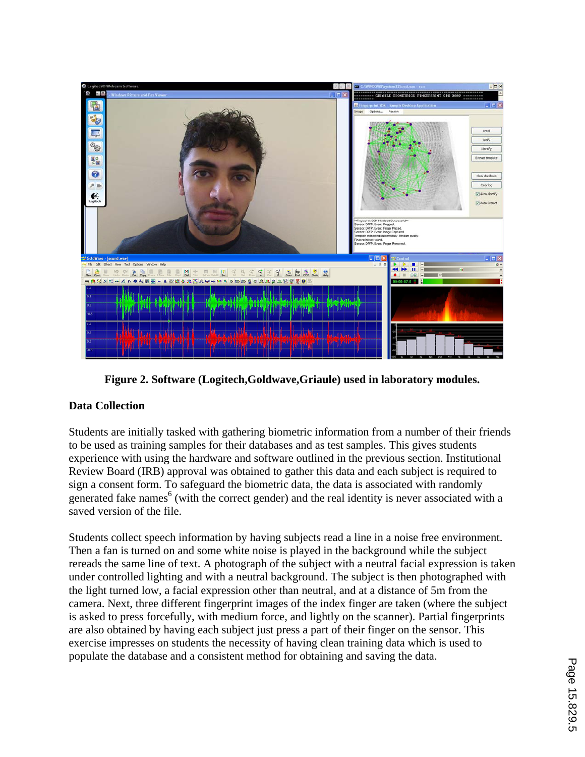

**Figure 2. Software (Logitech,Goldwave,Griaule) used in laboratory modules.** 

## **Data Collection**

Students are initially tasked with gathering biometric information from a number of their friends to be used as training samples for their databases and as test samples. This gives students experience with using the hardware and software outlined in the previous section. Institutional Review Board (IRB) approval was obtained to gather this data and each subject is required to sign a consent form. To safeguard the biometric data, the data is associated with randomly generated fake names<sup>6</sup> (with the correct gender) and the real identity is never associated with a saved version of the file.

Students collect speech information by having subjects read a line in a noise free environment. Then a fan is turned on and some white noise is played in the background while the subject rereads the same line of text. A photograph of the subject with a neutral facial expression is taken under controlled lighting and with a neutral background. The subject is then photographed with the light turned low, a facial expression other than neutral, and at a distance of 5m from the camera. Next, three different fingerprint images of the index finger are taken (where the subject is asked to press forcefully, with medium force, and lightly on the scanner). Partial fingerprints are also obtained by having each subject just press a part of their finger on the sensor. This exercise impresses on students the necessity of having clean training data which is used to populate the database and a consistent method for obtaining and saving the data.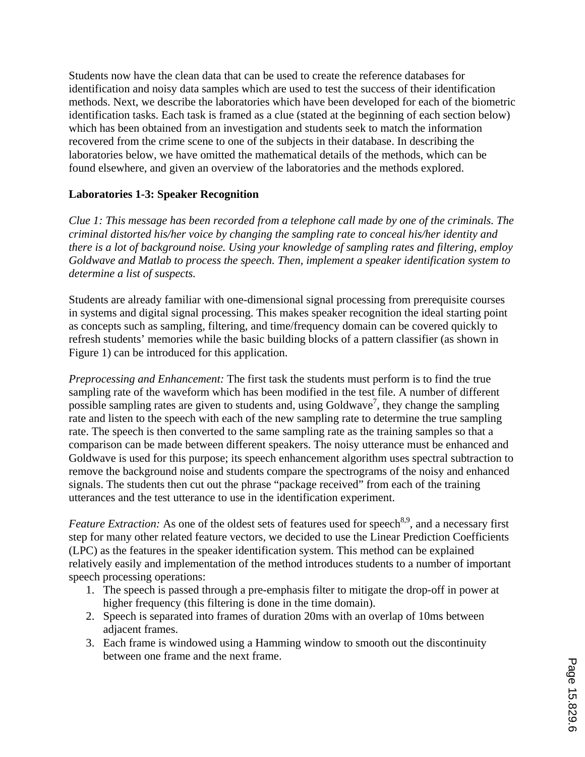Students now have the clean data that can be used to create the reference databases for identification and noisy data samples which are used to test the success of their identification methods. Next, we describe the laboratories which have been developed for each of the biometric identification tasks. Each task is framed as a clue (stated at the beginning of each section below) which has been obtained from an investigation and students seek to match the information recovered from the crime scene to one of the subjects in their database. In describing the laboratories below, we have omitted the mathematical details of the methods, which can be found elsewhere, and given an overview of the laboratories and the methods explored.

### **Laboratories 1-3: Speaker Recognition**

*Clue 1: This message has been recorded from a telephone call made by one of the criminals. The criminal distorted his/her voice by changing the sampling rate to conceal his/her identity and there is a lot of background noise. Using your knowledge of sampling rates and filtering, employ Goldwave and Matlab to process the speech. Then, implement a speaker identification system to determine a list of suspects.* 

Students are already familiar with one-dimensional signal processing from prerequisite courses in systems and digital signal processing. This makes speaker recognition the ideal starting point as concepts such as sampling, filtering, and time/frequency domain can be covered quickly to refresh students' memories while the basic building blocks of a pattern classifier (as shown in Figure 1) can be introduced for this application.

*Preprocessing and Enhancement:* The first task the students must perform is to find the true sampling rate of the waveform which has been modified in the test file. A number of different possible sampling rates are given to students and, using Goldwave<sup>7</sup>, they change the sampling rate and listen to the speech with each of the new sampling rate to determine the true sampling rate. The speech is then converted to the same sampling rate as the training samples so that a comparison can be made between different speakers. The noisy utterance must be enhanced and Goldwave is used for this purpose; its speech enhancement algorithm uses spectral subtraction to remove the background noise and students compare the spectrograms of the noisy and enhanced signals. The students then cut out the phrase "package received" from each of the training utterances and the test utterance to use in the identification experiment.

*Feature Extraction:* As one of the oldest sets of features used for speech<sup>8,9</sup>, and a necessary first step for many other related feature vectors, we decided to use the Linear Prediction Coefficients (LPC) as the features in the speaker identification system. This method can be explained relatively easily and implementation of the method introduces students to a number of important speech processing operations:

- 1. The speech is passed through a pre-emphasis filter to mitigate the drop-off in power at higher frequency (this filtering is done in the time domain).
- 2. Speech is separated into frames of duration 20ms with an overlap of 10ms between adjacent frames.
- 3. Each frame is windowed using a Hamming window to smooth out the discontinuity between one frame and the next frame.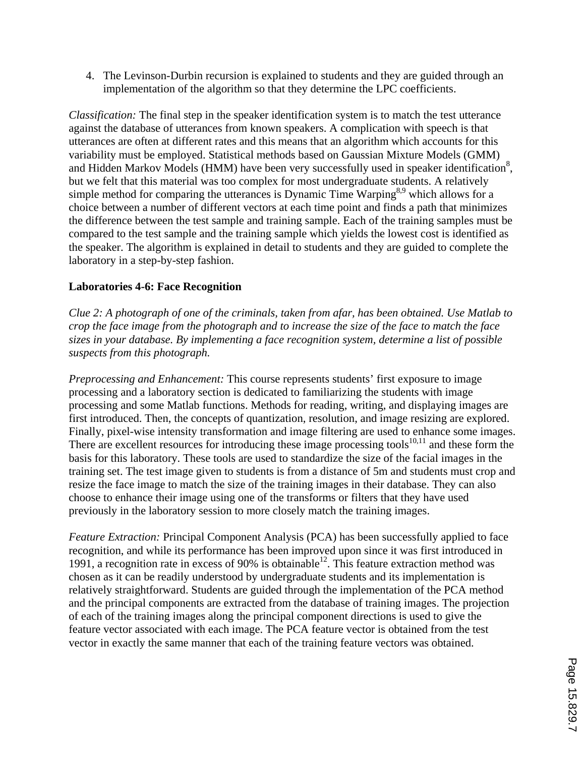4. The Levinson-Durbin recursion is explained to students and they are guided through an implementation of the algorithm so that they determine the LPC coefficients.

*Classification:* The final step in the speaker identification system is to match the test utterance against the database of utterances from known speakers. A complication with speech is that utterances are often at different rates and this means that an algorithm which accounts for this variability must be employed. Statistical methods based on Gaussian Mixture Models (GMM) and Hidden Markov Models (HMM) have been very successfully used in speaker identification<sup>8</sup>, but we felt that this material was too complex for most undergraduate students. A relatively simple method for comparing the utterances is Dynamic Time Warping<sup>8,9</sup> which allows for a choice between a number of different vectors at each time point and finds a path that minimizes the difference between the test sample and training sample. Each of the training samples must be compared to the test sample and the training sample which yields the lowest cost is identified as the speaker. The algorithm is explained in detail to students and they are guided to complete the laboratory in a step-by-step fashion.

### **Laboratories 4-6: Face Recognition**

*Clue 2: A photograph of one of the criminals, taken from afar, has been obtained. Use Matlab to crop the face image from the photograph and to increase the size of the face to match the face sizes in your database. By implementing a face recognition system, determine a list of possible suspects from this photograph.* 

*Preprocessing and Enhancement:* This course represents students' first exposure to image processing and a laboratory section is dedicated to familiarizing the students with image processing and some Matlab functions. Methods for reading, writing, and displaying images are first introduced. Then, the concepts of quantization, resolution, and image resizing are explored. Finally, pixel-wise intensity transformation and image filtering are used to enhance some images. There are excellent resources for introducing these image processing tools<sup>10,11</sup> and these form the basis for this laboratory. These tools are used to standardize the size of the facial images in the training set. The test image given to students is from a distance of 5m and students must crop and resize the face image to match the size of the training images in their database. They can also choose to enhance their image using one of the transforms or filters that they have used previously in the laboratory session to more closely match the training images.

*Feature Extraction:* Principal Component Analysis (PCA) has been successfully applied to face recognition, and while its performance has been improved upon since it was first introduced in 1991, a recognition rate in excess of 90% is obtainable<sup>12</sup>. This feature extraction method was chosen as it can be readily understood by undergraduate students and its implementation is relatively straightforward. Students are guided through the implementation of the PCA method and the principal components are extracted from the database of training images. The projection of each of the training images along the principal component directions is used to give the feature vector associated with each image. The PCA feature vector is obtained from the test vector in exactly the same manner that each of the training feature vectors was obtained.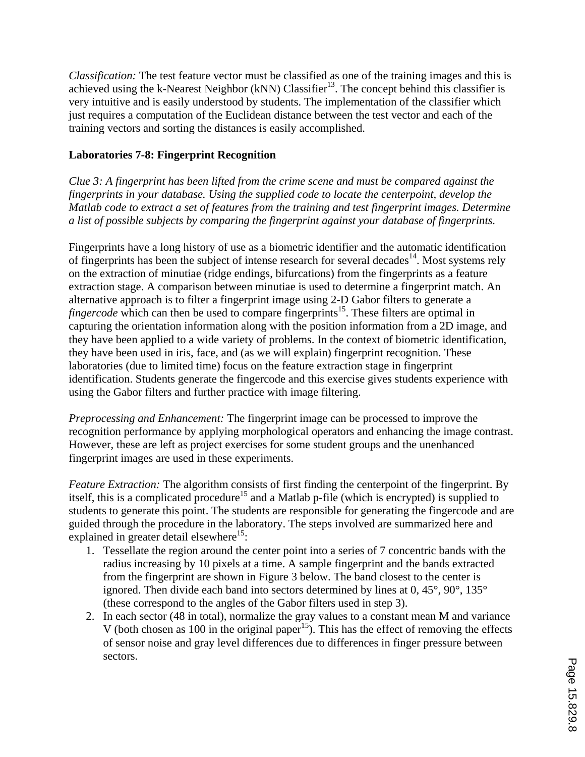*Classification:* The test feature vector must be classified as one of the training images and this is achieved using the k-Nearest Neighbor (kNN) Classifier<sup>13</sup>. The concept behind this classifier is very intuitive and is easily understood by students. The implementation of the classifier which just requires a computation of the Euclidean distance between the test vector and each of the training vectors and sorting the distances is easily accomplished.

### **Laboratories 7-8: Fingerprint Recognition**

*Clue 3: A fingerprint has been lifted from the crime scene and must be compared against the fingerprints in your database. Using the supplied code to locate the centerpoint, develop the Matlab code to extract a set of features from the training and test fingerprint images. Determine a list of possible subjects by comparing the fingerprint against your database of fingerprints.* 

Fingerprints have a long history of use as a biometric identifier and the automatic identification of fingerprints has been the subject of intense research for several decades<sup>14</sup>. Most systems rely on the extraction of minutiae (ridge endings, bifurcations) from the fingerprints as a feature extraction stage. A comparison between minutiae is used to determine a fingerprint match. An alternative approach is to filter a fingerprint image using 2-D Gabor filters to generate a *fingercode* which can then be used to compare fingerprints<sup>15</sup>. These filters are optimal in capturing the orientation information along with the position information from a 2D image, and they have been applied to a wide variety of problems. In the context of biometric identification, they have been used in iris, face, and (as we will explain) fingerprint recognition. These laboratories (due to limited time) focus on the feature extraction stage in fingerprint identification. Students generate the fingercode and this exercise gives students experience with using the Gabor filters and further practice with image filtering.

*Preprocessing and Enhancement:* The fingerprint image can be processed to improve the recognition performance by applying morphological operators and enhancing the image contrast. However, these are left as project exercises for some student groups and the unenhanced fingerprint images are used in these experiments.

*Feature Extraction:* The algorithm consists of first finding the centerpoint of the fingerprint. By itself, this is a complicated procedure<sup>15</sup> and a Matlab p-file (which is encrypted) is supplied to students to generate this point. The students are responsible for generating the fingercode and are guided through the procedure in the laboratory. The steps involved are summarized here and explained in greater detail elsewhere<sup>15</sup>:

- 1. Tessellate the region around the center point into a series of 7 concentric bands with the radius increasing by 10 pixels at a time. A sample fingerprint and the bands extracted from the fingerprint are shown in Figure 3 below. The band closest to the center is ignored. Then divide each band into sectors determined by lines at 0, 45°, 90°, 135° (these correspond to the angles of the Gabor filters used in step 3).
- 2. In each sector (48 in total), normalize the gray values to a constant mean M and variance V (both chosen as 100 in the original paper<sup>15</sup>). This has the effect of removing the effects of sensor noise and gray level differences due to differences in finger pressure between sectors.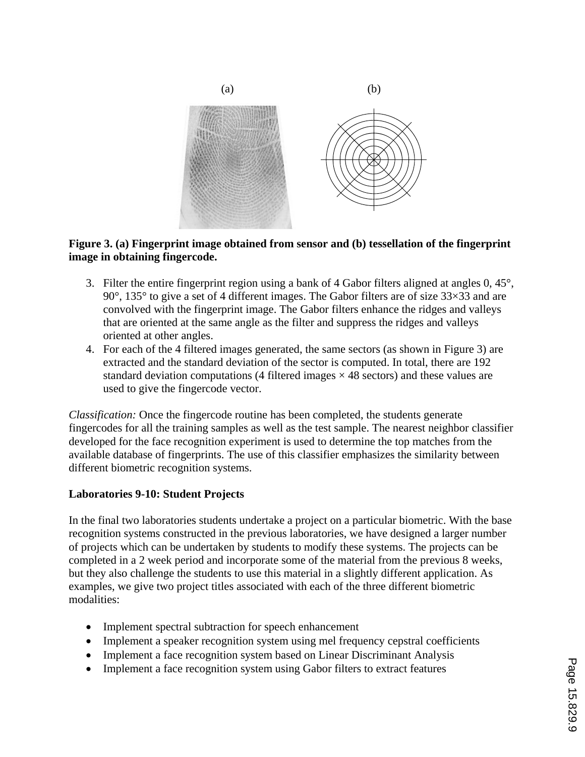

#### **Figure 3. (a) Fingerprint image obtained from sensor and (b) tessellation of the fingerprint image in obtaining fingercode.**

- 3. Filter the entire fingerprint region using a bank of 4 Gabor filters aligned at angles 0, 45°, 90°, 135° to give a set of 4 different images. The Gabor filters are of size 33×33 and are convolved with the fingerprint image. The Gabor filters enhance the ridges and valleys that are oriented at the same angle as the filter and suppress the ridges and valleys oriented at other angles.
- 4. For each of the 4 filtered images generated, the same sectors (as shown in Figure 3) are extracted and the standard deviation of the sector is computed. In total, there are 192 standard deviation computations (4 filtered images  $\times$  48 sectors) and these values are used to give the fingercode vector.

*Classification:* Once the fingercode routine has been completed, the students generate fingercodes for all the training samples as well as the test sample. The nearest neighbor classifier developed for the face recognition experiment is used to determine the top matches from the available database of fingerprints. The use of this classifier emphasizes the similarity between different biometric recognition systems.

### **Laboratories 9-10: Student Projects**

In the final two laboratories students undertake a project on a particular biometric. With the base recognition systems constructed in the previous laboratories, we have designed a larger number of projects which can be undertaken by students to modify these systems. The projects can be completed in a 2 week period and incorporate some of the material from the previous 8 weeks, but they also challenge the students to use this material in a slightly different application. As examples, we give two project titles associated with each of the three different biometric modalities:

- Implement spectral subtraction for speech enhancement
- Implement a speaker recognition system using mel frequency cepstral coefficients
- Implement a face recognition system based on Linear Discriminant Analysis
- Implement a face recognition system using Gabor filters to extract features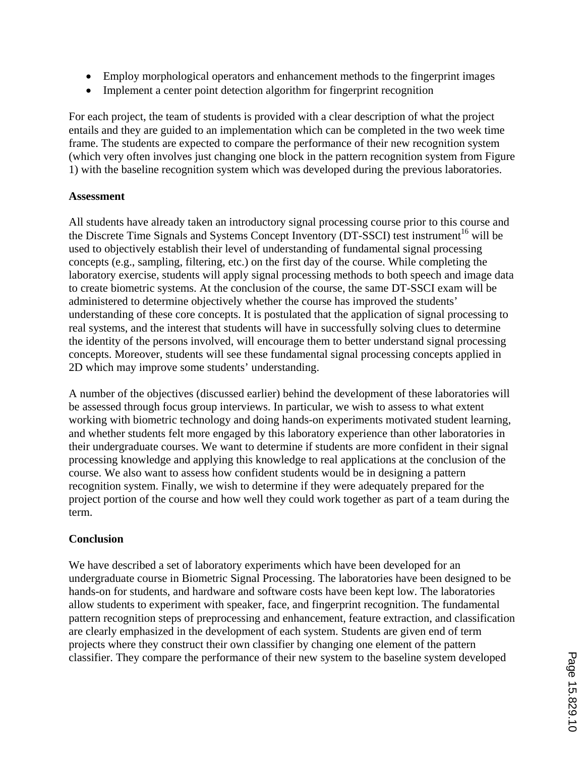- Employ morphological operators and enhancement methods to the fingerprint images
- Implement a center point detection algorithm for fingerprint recognition

For each project, the team of students is provided with a clear description of what the project entails and they are guided to an implementation which can be completed in the two week time frame. The students are expected to compare the performance of their new recognition system (which very often involves just changing one block in the pattern recognition system from Figure 1) with the baseline recognition system which was developed during the previous laboratories.

### **Assessment**

All students have already taken an introductory signal processing course prior to this course and the Discrete Time Signals and Systems Concept Inventory (DT-SSCI) test instrument<sup>16</sup> will be used to objectively establish their level of understanding of fundamental signal processing concepts (e.g., sampling, filtering, etc.) on the first day of the course. While completing the laboratory exercise, students will apply signal processing methods to both speech and image data to create biometric systems. At the conclusion of the course, the same DT-SSCI exam will be administered to determine objectively whether the course has improved the students' understanding of these core concepts. It is postulated that the application of signal processing to real systems, and the interest that students will have in successfully solving clues to determine the identity of the persons involved, will encourage them to better understand signal processing concepts. Moreover, students will see these fundamental signal processing concepts applied in 2D which may improve some students' understanding.

A number of the objectives (discussed earlier) behind the development of these laboratories will be assessed through focus group interviews. In particular, we wish to assess to what extent working with biometric technology and doing hands-on experiments motivated student learning, and whether students felt more engaged by this laboratory experience than other laboratories in their undergraduate courses. We want to determine if students are more confident in their signal processing knowledge and applying this knowledge to real applications at the conclusion of the course. We also want to assess how confident students would be in designing a pattern recognition system. Finally, we wish to determine if they were adequately prepared for the project portion of the course and how well they could work together as part of a team during the term.

## **Conclusion**

We have described a set of laboratory experiments which have been developed for an undergraduate course in Biometric Signal Processing. The laboratories have been designed to be hands-on for students, and hardware and software costs have been kept low. The laboratories allow students to experiment with speaker, face, and fingerprint recognition. The fundamental pattern recognition steps of preprocessing and enhancement, feature extraction, and classification are clearly emphasized in the development of each system. Students are given end of term projects where they construct their own classifier by changing one element of the pattern classifier. They compare the performance of their new system to the baseline system developed